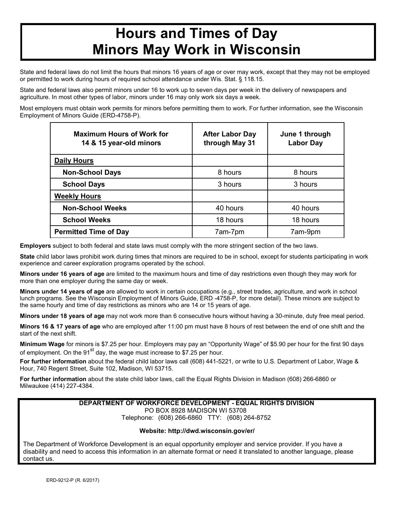# **Hours and Times of Day Minors May Work in Wisconsin**

State and federal laws do not limit the hours that minors 16 years of age or over may work, except that they may not be employed or permitted to work during hours of required school attendance under Wis. Stat. § 118.15.

State and federal laws also permit minors under 16 to work up to seven days per week in the delivery of newspapers and agriculture. In most other types of labor, minors under 16 may only work six days a week.

Most employers must obtain work permits for minors before permitting them to work. For further information, see the Wisconsin Employment of Minors Guide (ERD-4758-P).

| <b>Maximum Hours of Work for</b><br>14 & 15 year-old minors | <b>After Labor Day</b><br>through May 31 | June 1 through<br><b>Labor Day</b> |
|-------------------------------------------------------------|------------------------------------------|------------------------------------|
| <b>Daily Hours</b>                                          |                                          |                                    |
| <b>Non-School Days</b>                                      | 8 hours                                  | 8 hours                            |
| <b>School Days</b>                                          | 3 hours                                  | 3 hours                            |
| <b>Weekly Hours</b>                                         |                                          |                                    |
| <b>Non-School Weeks</b>                                     | 40 hours                                 | 40 hours                           |
| <b>School Weeks</b>                                         | 18 hours                                 | 18 hours                           |
| <b>Permitted Time of Day</b>                                | 7am-7pm                                  | 7am-9pm                            |

**Employers** subject to both federal and state laws must comply with the more stringent section of the two laws.

**State** child labor laws prohibit work during times that minors are required to be in school, except for students participating in work experience and career exploration programs operated by the school.

**Minors under 16 years of age** are limited to the maximum hours and time of day restrictions even though they may work for more than one employer during the same day or week.

**Minors under 14 years of age** are allowed to work in certain occupations (e.g., street trades, agriculture, and work in school lunch programs. See the Wisconsin Employment of Minors Guide, ERD -4758-P, for more detail). These minors are subject to the same hourly and time of day restrictions as minors who are 14 or 15 years of age.

**Minors under 18 years of age** may not work more than 6 consecutive hours without having a 30-minute, duty free meal period.

**Minors 16 & 17 years of age** who are employed after 11:00 pm must have 8 hours of rest between the end of one shift and the start of the next shift.

**Minimum Wage** for minors is \$7.25 per hour. Employers may pay an "Opportunity Wage" of \$5.90 per hour for the first 90 days of employment. On the  $91<sup>st</sup>$  day, the wage must increase to \$7.25 per hour.

**For further information** about the federal child labor laws call (608) 441-5221, or write to U.S. Department of Labor, Wage & Hour, 740 Regent Street, Suite 102, Madison, WI 53715.

**For further information** about the state child labor laws, call the Equal Rights Division in Madison (608) 266-6860 or Milwaukee (414) 227-4384.

#### **DEPARTMENT OF WORKFORCE DEVELOPMENT - EQUAL RIGHTS DIVISION** PO BOX 8928 MADISON WI 53708 Telephone: (608) 266-6860 TTY: (608) 264-8752

### **Website: http://dwd.wisconsin.gov/er/**

The Department of Workforce Development is an equal opportunity employer and service provider. If you have a disability and need to access this information in an alternate format or need it translated to another language, please contact us.